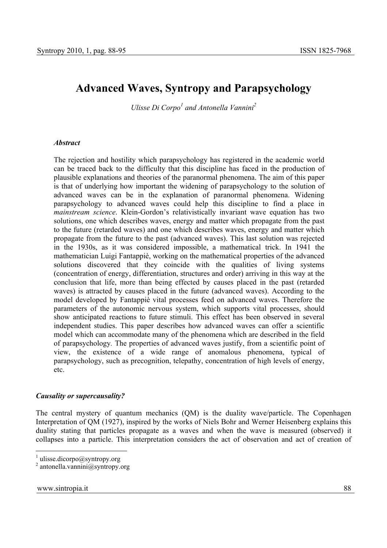# **Advanced Waves, Syntropy and Parapsychology**

*Ulisse Di Corpo<sup>1</sup> and Antonella Vannini*<sup>2</sup>

### *Abstract*

The rejection and hostility which parapsychology has registered in the academic world can be traced back to the difficulty that this discipline has faced in the production of plausible explanations and theories of the paranormal phenomena. The aim of this paper is that of underlying how important the widening of parapsychology to the solution of advanced waves can be in the explanation of paranormal phenomena. Widening parapsychology to advanced waves could help this discipline to find a place in *mainstream science*. Klein-Gordon's relativistically invariant wave equation has two solutions, one which describes waves, energy and matter which propagate from the past to the future (retarded waves) and one which describes waves, energy and matter which propagate from the future to the past (advanced waves). This last solution was rejected in the 1930s, as it was considered impossible, a mathematical trick. In 1941 the mathematician Luigi Fantappiè, working on the mathematical properties of the advanced solutions discovered that they coincide with the qualities of living systems (concentration of energy, differentiation, structures and order) arriving in this way at the conclusion that life, more than being effected by causes placed in the past (retarded waves) is attracted by causes placed in the future (advanced waves). According to the model developed by Fantappiè vital processes feed on advanced waves. Therefore the parameters of the autonomic nervous system, which supports vital processes, should show anticipated reactions to future stimuli. This effect has been observed in several independent studies. This paper describes how advanced waves can offer a scientific model which can accommodate many of the phenomena which are described in the field of parapsychology*.* The properties of advanced waves justify, from a scientific point of view, the existence of a wide range of anomalous phenomena, typical of parapsychology, such as precognition, telepathy, concentration of high levels of energy, etc.

### *Causality or supercausality?*

The central mystery of quantum mechanics (QM) is the duality wave/particle. The Copenhagen Interpretation of QM (1927), inspired by the works of Niels Bohr and Werner Heisenberg explains this duality stating that particles propagate as a waves and when the wave is measured (observed) it collapses into a particle. This interpretation considers the act of observation and act of creation of

 $\frac{1}{1}$  ulisse.dicorpo@syntropy.org

<sup>2</sup> antonella.vannini@syntropy.org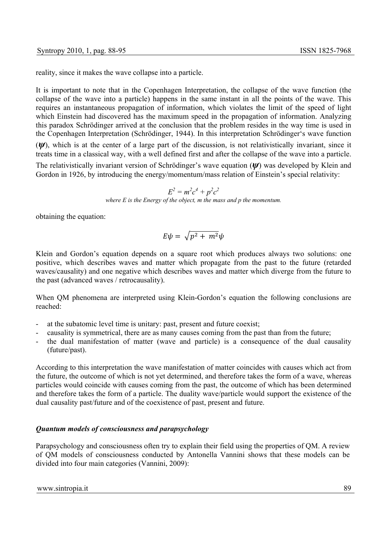reality, since it makes the wave collapse into a particle.

It is important to note that in the Copenhagen Interpretation, the collapse of the wave function (the collapse of the wave into a particle) happens in the same instant in all the points of the wave. This requires an instantaneous propagation of information, which violates the limit of the speed of light which Einstein had discovered has the maximum speed in the propagation of information. Analyzing this paradox Schrödinger arrived at the conclusion that the problem resides in the way time is used in the Copenhagen Interpretation (Schrödinger, 1944). In this interpretation Schrödinger's wave function

(*ψ*), which is at the center of a large part of the discussion, is not relativistically invariant, since it treats time in a classical way, with a well defined first and after the collapse of the wave into a particle.

The relativistically invariant version of Schrödinger's wave equation (*ψ*) was developed by Klein and Gordon in 1926, by introducing the energy/momentum/mass relation of Einstein's special relativity:

> $E^2 = m^2c^4 + p^2c^2$ *where E is the Energy of the object, m the mass and p the momentum.*

obtaining the equation:

$$
E\psi = \sqrt{p^2 + m^2}\psi
$$

Klein and Gordon's equation depends on a square root which produces always two solutions: one positive, which describes waves and matter which propagate from the past to the future (retarded waves/causality) and one negative which describes waves and matter which diverge from the future to the past (advanced waves / retrocausality).

When QM phenomena are interpreted using Klein-Gordon's equation the following conclusions are reached:

- at the subatomic level time is unitary: past, present and future coexist;
- causality is symmetrical, there are as many causes coming from the past than from the future;
- the dual manifestation of matter (wave and particle) is a consequence of the dual causality (future/past).

According to this interpretation the wave manifestation of matter coincides with causes which act from the future, the outcome of which is not yet determined, and therefore takes the form of a wave, whereas particles would coincide with causes coming from the past, the outcome of which has been determined and therefore takes the form of a particle. The duality wave/particle would support the existence of the dual causality past/future and of the coexistence of past, present and future.

# *Quantum models of consciousness and parapsychology*

Parapsychology and consciousness often try to explain their field using the properties of QM. A review of QM models of consciousness conducted by Antonella Vannini shows that these models can be divided into four main categories (Vannini, 2009):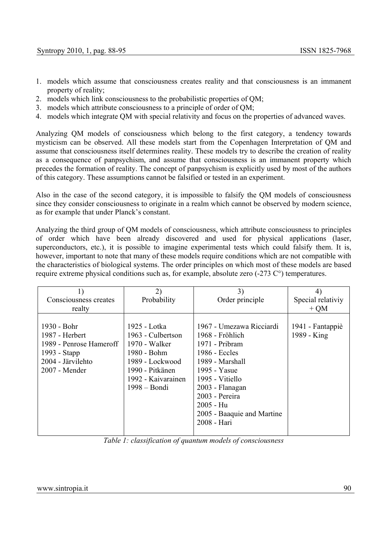- 1. models which assume that consciousness creates reality and that consciousness is an immanent property of reality;
- 2. models which link consciousness to the probabilistic properties of QM;
- 3. models which attribute consciousness to a principle of order of QM;
- 4. models which integrate QM with special relativity and focus on the properties of advanced waves.

Analyzing QM models of consciousness which belong to the first category, a tendency towards mysticism can be observed. All these models start from the Copenhagen Interpretation of QM and assume that consciousness itself determines reality. These models try to describe the creation of reality as a consequence of panpsychism, and assume that consciousness is an immanent property which precedes the formation of reality. The concept of panpsychism is explicitly used by most of the authors of this category. These assumptions cannot be falsified or tested in an experiment.

Also in the case of the second category, it is impossible to falsify the QM models of consciousness since they consider consciousness to originate in a realm which cannot be observed by modern science, as for example that under Planck's constant.

Analyzing the third group of QM models of consciousness, which attribute consciousness to principles of order which have been already discovered and used for physical applications (laser, superconductors, etc.), it is possible to imagine experimental tests which could falsify them. It is, however, important to note that many of these models require conditions which are not compatible with the characteristics of biological systems. The order principles on which most of these models are based require extreme physical conditions such as, for example, absolute zero (-273 C°) temperatures.

| 1)<br>Consciousness creates                                                                                    | 2)<br>Probability                                                                                                                               | 3)<br>Order principle                                                                                                                                                                                                               | 4)<br>Special relativiy         |
|----------------------------------------------------------------------------------------------------------------|-------------------------------------------------------------------------------------------------------------------------------------------------|-------------------------------------------------------------------------------------------------------------------------------------------------------------------------------------------------------------------------------------|---------------------------------|
| realty                                                                                                         |                                                                                                                                                 |                                                                                                                                                                                                                                     | $+ OM$                          |
| 1930 - Bohr<br>1987 - Herbert<br>1989 - Penrose Hameroff<br>1993 - Stapp<br>2004 - Järvilehto<br>2007 - Mender | 1925 - Lotka<br>1963 - Culbertson<br>1970 - Walker<br>1980 - Bohm<br>1989 - Lockwood<br>1990 - Pitkänen<br>1992 - Kaivarainen<br>$1998 - Bondi$ | 1967 - Umezawa Ricciardi<br>1968 - Fröhlich<br>1971 - Pribram<br>1986 - Eccles<br>1989 - Marshall<br>1995 - Yasue<br>1995 - Vitiello<br>2003 - Flanagan<br>2003 - Pereira<br>2005 - Hu<br>2005 - Baaquie and Martine<br>2008 - Hari | 1941 - Fantappiè<br>1989 - King |

*Table 1: classification of quantum models of consciousness*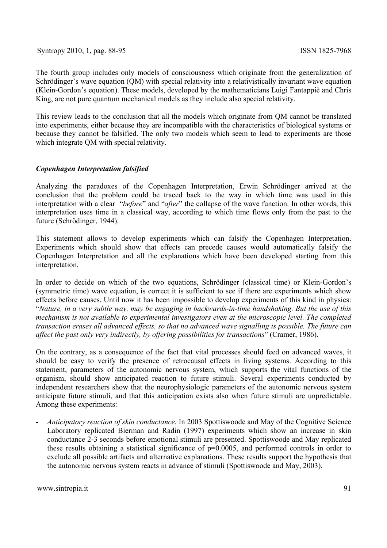The fourth group includes only models of consciousness which originate from the generalization of Schrödinger's wave equation (QM) with special relativity into a relativistically invariant wave equation (Klein-Gordon's equation). These models, developed by the mathematicians Luigi Fantappiè and Chris King, are not pure quantum mechanical models as they include also special relativity.

This review leads to the conclusion that all the models which originate from QM cannot be translated into experiments, either because they are incompatible with the characteristics of biological systems or because they cannot be falsified. The only two models which seem to lead to experiments are those which integrate QM with special relativity.

# *Copenhagen Interpretation falsified*

Analyzing the paradoxes of the Copenhagen Interpretation, Erwin Schrödinger arrived at the conclusion that the problem could be traced back to the way in which time was used in this interpretation with a clear "*before*" and "*after*" the collapse of the wave function. In other words, this interpretation uses time in a classical way, according to which time flows only from the past to the future (Schrödinger, 1944).

This statement allows to develop experiments which can falsify the Copenhagen Interpretation. Experiments which should show that effects can precede causes would automatically falsify the Copenhagen Interpretation and all the explanations which have been developed starting from this interpretation.

In order to decide on which of the two equations, Schrödinger (classical time) or Klein-Gordon's (symmetric time) wave equation, is correct it is sufficient to see if there are experiments which show effects before causes. Until now it has been impossible to develop experiments of this kind in physics: "*Nature, in a very subtle way, may be engaging in backwards-in-time handshaking. But the use of this mechanism is not available to experimental investigators even at the microscopic level. The completed transaction erases all advanced effects, so that no advanced wave signalling is possible. The future can affect the past only very indirectly, by offering possibilities for transactions*" (Cramer, 1986).

On the contrary, as a consequence of the fact that vital processes should feed on advanced waves, it should be easy to verify the presence of retrocausal effects in living systems. According to this statement, parameters of the autonomic nervous system, which supports the vital functions of the organism, should show anticipated reaction to future stimuli. Several experiments conducted by independent researchers show that the neurophysiologic parameters of the autonomic nervous system anticipate future stimuli, and that this anticipation exists also when future stimuli are unpredictable. Among these experiments:

- *Anticipatory reaction of skin conductance.* In 2003 Spottiswoode and May of the Cognitive Science Laboratory replicated Bierman and Radin (1997) experiments which show an increase in skin conductance 2-3 seconds before emotional stimuli are presented. Spottiswoode and May replicated these results obtaining a statistical significance of p=0.0005, and performed controls in order to exclude all possible artifacts and alternative explanations. These results support the hypothesis that the autonomic nervous system reacts in advance of stimuli (Spottiswoode and May, 2003).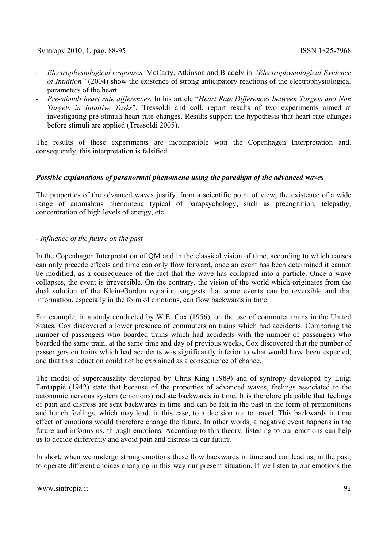- *Electrophysiological responses.* McCarty, Atkinson and Bradely in *"Electrophysiological Evidence of Intuition"* (2004) show the existence of strong anticipatory reactions of the electrophysiological parameters of the heart.
- *Pre-stimuli heart rate differences.* In his article "*Heart Rate Differences between Targets and Non Targets in Intuitive Tasks*", Tressoldi and coll. report results of two experiments aimed at investigating pre-stimuli heart rate changes. Results support the hypothesis that heart rate changes before stimuli are applied (Tressoldi 2005).

The results of these experiments are incompatible with the Copenhagen Interpretation and, consequently, this interpretation is falsified.

#### *Possible explanations of paranormal phenomena using the paradigm of the advanced waves*

The properties of the advanced waves justify, from a scientific point of view, the existence of a wide range of anomalous phenomena typical of parapsychology, such as precognition, telepathy, concentration of high levels of energy, etc.

#### *- Influence of the future on the past*

In the Copenhagen Interpretation of QM and in the classical vision of time, according to which causes can only precede effects and time can only flow forward, once an event has been determined it cannot be modified, as a consequence of the fact that the wave has collapsed into a particle. Once a wave collapses, the event is irreversible. On the contrary, the vision of the world which originates from the dual solution of the Klein-Gordon equation suggests that some events can be reversible and that information, especially in the form of emotions, can flow backwards in time.

For example, in a study conducted by W.E. Cox (1956), on the use of commuter trains in the United States, Cox discovered a lower presence of commuters on trains which had accidents. Comparing the number of passengers who boarded trains which had accidents with the number of passengers who boarded the same train, at the same time and day of previous weeks, Cox discovered that the number of passengers on trains which had accidents was significantly inferior to what would have been expected, and that this reduction could not be explained as a consequence of chance.

The model of supercausality developed by Chris King (1989) and of syntropy developed by Luigi Fantappiè (1942) state that because of the properties of advanced waves, feelings associated to the autonomic nervous system (emotions) radiate backwards in time. It is therefore plausible that feelings of pain and distress are sent backwards in time and can be felt in the past in the form of premonitions and hunch feelings, which may lead, in this case, to a decision not to travel. This backwards in time effect of emotions would therefore change the future. In other words, a negative event happens in the future and informs us, through emotions. According to this theory, listening to our emotions can help us to decide differently and avoid pain and distress in our future.

In short, when we undergo strong emotions these flow backwards in time and can lead us, in the past, to operate different choices changing in this way our present situation. If we listen to our emotions the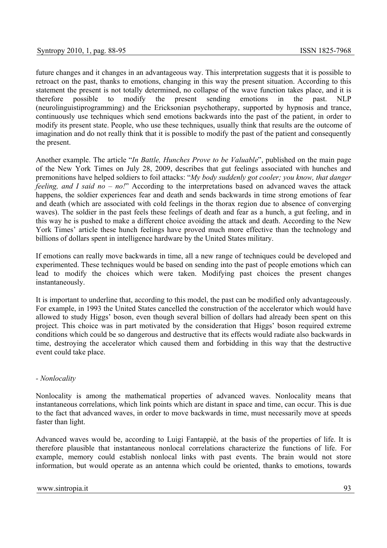future changes and it changes in an advantageous way. This interpretation suggests that it is possible to retroact on the past, thanks to emotions, changing in this way the present situation. According to this statement the present is not totally determined, no collapse of the wave function takes place, and it is therefore possible to modify the present sending emotions in the past. NLP (neurolinguistiprogramming) and the Ericksonian psychotherapy, supported by hypnosis and trance, continuously use techniques which send emotions backwards into the past of the patient, in order to modify its present state. People, who use these techniques, usually think that results are the outcome of imagination and do not really think that it is possible to modify the past of the patient and consequently the present.

Another example. The article "*In Battle, Hunches Prove to be Valuable*", published on the main page of the New York Times on July 28, 2009, describes that gut feelings associated with hunches and premonitions have helped soldiers to foil attacks: "*My body suddenly got cooler; you know, that danger feeling, and I said no – no!*" According to the interpretations based on advanced waves the attack happens, the soldier experiences fear and death and sends backwards in time strong emotions of fear and death (which are associated with cold feelings in the thorax region due to absence of converging waves). The soldier in the past feels these feelings of death and fear as a hunch, a gut feeling, and in this way he is pushed to make a different choice avoiding the attack and death. According to the New York Times' article these hunch feelings have proved much more effective than the technology and billions of dollars spent in intelligence hardware by the United States military.

If emotions can really move backwards in time, all a new range of techniques could be developed and experimented. These techniques would be based on sending into the past of people emotions which can lead to modify the choices which were taken. Modifying past choices the present changes instantaneously.

It is important to underline that, according to this model, the past can be modified only advantageously. For example, in 1993 the United States cancelled the construction of the accelerator which would have allowed to study Higgs' boson, even though several billion of dollars had already been spent on this project. This choice was in part motivated by the consideration that Higgs' boson required extreme conditions which could be so dangerous and destructive that its effects would radiate also backwards in time, destroying the accelerator which caused them and forbidding in this way that the destructive event could take place.

# *- Nonlocality*

Nonlocality is among the mathematical properties of advanced waves. Nonlocality means that instantaneous correlations, which link points which are distant in space and time, can occur. This is due to the fact that advanced waves, in order to move backwards in time, must necessarily move at speeds faster than light.

Advanced waves would be, according to Luigi Fantappiè, at the basis of the properties of life. It is therefore plausible that instantaneous nonlocal correlations characterize the functions of life. For example, memory could establish nonlocal links with past events. The brain would not store information, but would operate as an antenna which could be oriented, thanks to emotions, towards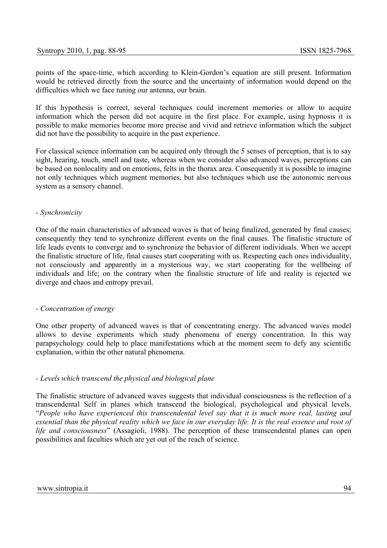points of the space-time, which according to Klein-Gordon's equation are still present. Information would be retrieved directly from the source and the uncertainty of information would depend on the difficulties which we face tuning our antenna, our brain.

If this hypothesis is correct, several techniques could increment memories or allow to acquire information which the person did not acquire in the first place. For example, using hypnosis it is possible to make memories become more precise and vivid and retrieve information which the subject did not have the possibility to acquire in the past experience.

For classical science information can be acquired only through the 5 senses of perception, that is to say sight, hearing, touch, smell and taste, whereas when we consider also advanced waves, perceptions can be based on nonlocality and on emotions, felts in the thorax area. Consequently it is possible to imagine not only techniques which augment memories, but also techniques which use the autonomic nervous system as a sensory channel.

## *- Synchronicity*

One of the main characteristics of advanced waves is that of being finalized, generated by final causes; consequently they tend to synchronize different events on the final causes. The finalistic structure of life leads events to converge and to synchronize the behavior of different individuals. When we accept the finalistic structure of life, final causes start cooperating with us. Respecting each ones individuality, not consciously and apparently in a mysterious way, we start cooperating for the wellbeing of individuals and life; on the contrary when the finalistic structure of life and reality is rejected we diverge and chaos and entropy prevail.

### *- Concentration of energy*

One other property of advanced waves is that of concentrating energy. The advanced waves model allows to devise experiments which study phenomena of energy concentration. In this way parapsychology could help to place manifestations which at the moment seem to defy any scientific explanation, within the other natural phenomena.

# *- Levels which transcend the physical and biological plane*

The finalistic structure of advanced waves suggests that individual consciousness is the reflection of a transcendental Self in planes which transcend the biological, psychological and physical levels. "*People who have experienced this transcendental level say that it is much more real, lasting and essential than the physical reality which we face in our everyday life. It is the real essence and root of life and consciousness*" (Assagioli, 1988). The perception of these transcendental planes can open possibilities and faculties which are yet out of the reach of science.